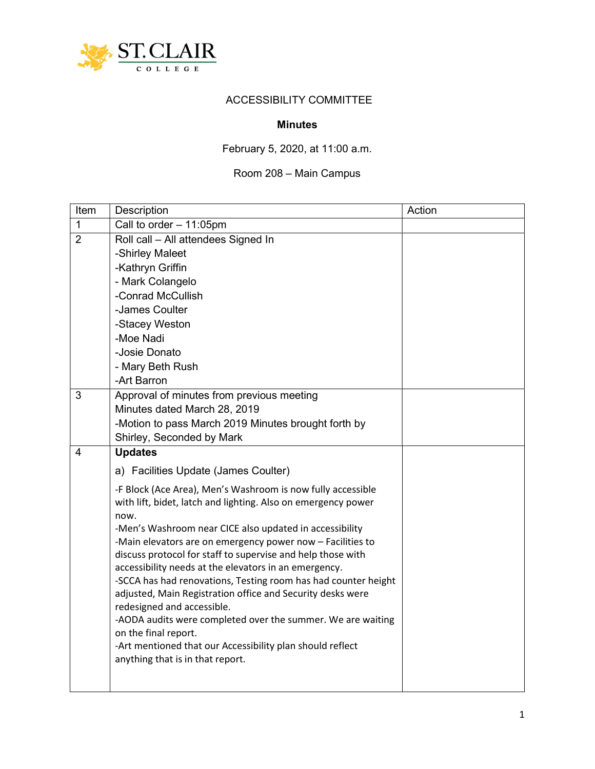

## ACCESSIBILITY COMMITTEE

## Minutes

## February 5, 2020, at 11:00 a.m.

## Room 208 – Main Campus

| Item           | Description                                                                                                                  | Action |
|----------------|------------------------------------------------------------------------------------------------------------------------------|--------|
| 1              | Call to order $-11:05$ pm                                                                                                    |        |
| $\overline{2}$ | Roll call - All attendees Signed In                                                                                          |        |
|                | -Shirley Maleet                                                                                                              |        |
|                | -Kathryn Griffin                                                                                                             |        |
|                | - Mark Colangelo                                                                                                             |        |
|                | -Conrad McCullish                                                                                                            |        |
|                | -James Coulter                                                                                                               |        |
|                | -Stacey Weston                                                                                                               |        |
|                | -Moe Nadi                                                                                                                    |        |
|                | -Josie Donato                                                                                                                |        |
|                | - Mary Beth Rush                                                                                                             |        |
|                | -Art Barron                                                                                                                  |        |
| 3              | Approval of minutes from previous meeting                                                                                    |        |
|                | Minutes dated March 28, 2019                                                                                                 |        |
|                | -Motion to pass March 2019 Minutes brought forth by                                                                          |        |
|                | Shirley, Seconded by Mark                                                                                                    |        |
| $\overline{4}$ | <b>Updates</b>                                                                                                               |        |
|                | a) Facilities Update (James Coulter)                                                                                         |        |
|                | -F Block (Ace Area), Men's Washroom is now fully accessible                                                                  |        |
|                | with lift, bidet, latch and lighting. Also on emergency power                                                                |        |
|                | now.                                                                                                                         |        |
|                | -Men's Washroom near CICE also updated in accessibility                                                                      |        |
|                | -Main elevators are on emergency power now - Facilities to                                                                   |        |
|                | discuss protocol for staff to supervise and help those with                                                                  |        |
|                | accessibility needs at the elevators in an emergency.                                                                        |        |
|                | -SCCA has had renovations, Testing room has had counter height<br>adjusted, Main Registration office and Security desks were |        |
|                | redesigned and accessible.                                                                                                   |        |
|                | -AODA audits were completed over the summer. We are waiting                                                                  |        |
|                | on the final report.                                                                                                         |        |
|                | -Art mentioned that our Accessibility plan should reflect                                                                    |        |
|                | anything that is in that report.                                                                                             |        |
|                |                                                                                                                              |        |
|                |                                                                                                                              |        |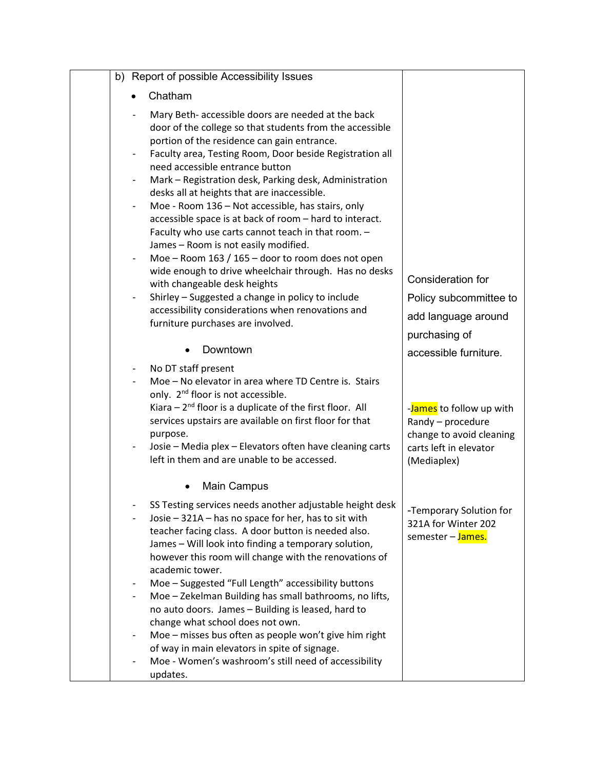|                          | b) Report of possible Accessibility Issues                                                                     |                          |
|--------------------------|----------------------------------------------------------------------------------------------------------------|--------------------------|
|                          | Chatham                                                                                                        |                          |
|                          | Mary Beth- accessible doors are needed at the back                                                             |                          |
|                          | door of the college so that students from the accessible                                                       |                          |
|                          | portion of the residence can gain entrance.                                                                    |                          |
|                          | Faculty area, Testing Room, Door beside Registration all<br>need accessible entrance button                    |                          |
|                          | Mark - Registration desk, Parking desk, Administration                                                         |                          |
|                          | desks all at heights that are inaccessible.                                                                    |                          |
|                          | Moe - Room 136 - Not accessible, has stairs, only                                                              |                          |
|                          | accessible space is at back of room - hard to interact.                                                        |                          |
|                          | Faculty who use carts cannot teach in that room. -<br>James - Room is not easily modified.                     |                          |
|                          | Moe - Room 163 / 165 - door to room does not open                                                              |                          |
|                          | wide enough to drive wheelchair through. Has no desks                                                          |                          |
|                          | with changeable desk heights                                                                                   | Consideration for        |
| $\overline{\phantom{a}}$ | Shirley - Suggested a change in policy to include<br>accessibility considerations when renovations and         | Policy subcommittee to   |
|                          | furniture purchases are involved.                                                                              | add language around      |
|                          |                                                                                                                | purchasing of            |
|                          | Downtown                                                                                                       | accessible furniture.    |
|                          | No DT staff present                                                                                            |                          |
|                          | Moe - No elevator in area where TD Centre is. Stairs                                                           |                          |
|                          | only. 2 <sup>nd</sup> floor is not accessible.<br>Kiara $-2^{nd}$ floor is a duplicate of the first floor. All | -James to follow up with |
|                          | services upstairs are available on first floor for that                                                        | Randy - procedure        |
|                          | purpose.                                                                                                       | change to avoid cleaning |
|                          | Josie - Media plex - Elevators often have cleaning carts                                                       | carts left in elevator   |
|                          | left in them and are unable to be accessed.                                                                    | (Mediaplex)              |
|                          | <b>Main Campus</b>                                                                                             |                          |
|                          | SS Testing services needs another adjustable height desk                                                       | -Temporary Solution for  |
|                          | Josie - 321A - has no space for her, has to sit with                                                           | 321A for Winter 202      |
|                          | teacher facing class. A door button is needed also.                                                            | semester - James.        |
|                          | James - Will look into finding a temporary solution,                                                           |                          |
|                          | however this room will change with the renovations of<br>academic tower.                                       |                          |
|                          | Moe - Suggested "Full Length" accessibility buttons                                                            |                          |
|                          | Moe - Zekelman Building has small bathrooms, no lifts,                                                         |                          |
|                          | no auto doors. James - Building is leased, hard to                                                             |                          |
|                          | change what school does not own.                                                                               |                          |
|                          | Moe - misses bus often as people won't give him right<br>of way in main elevators in spite of signage.         |                          |
|                          | Moe - Women's washroom's still need of accessibility                                                           |                          |
|                          | updates.                                                                                                       |                          |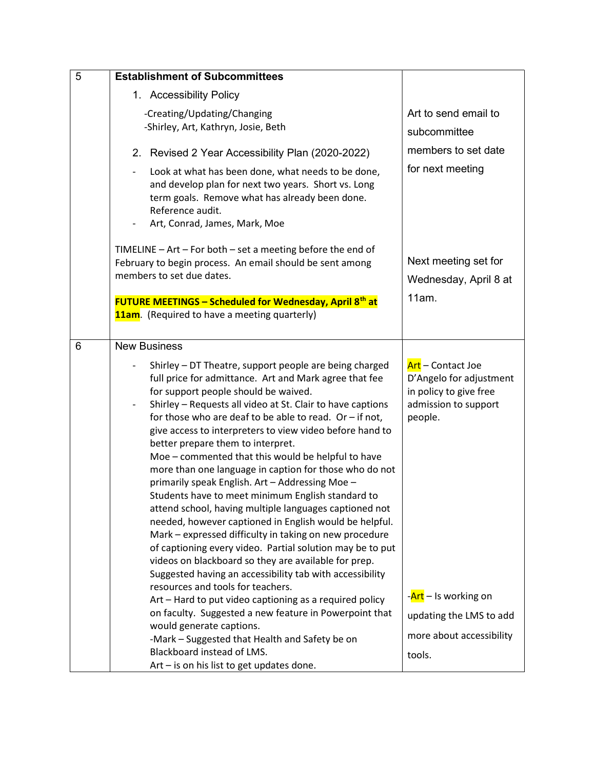| 5 | <b>Establishment of Subcommittees</b>                                                                                                                                                                                                                                                                                                                                                                                                                                                                                                                                                                                                                                                                                                                                                                                                                                                                                                                                                                            |                                                                                                           |
|---|------------------------------------------------------------------------------------------------------------------------------------------------------------------------------------------------------------------------------------------------------------------------------------------------------------------------------------------------------------------------------------------------------------------------------------------------------------------------------------------------------------------------------------------------------------------------------------------------------------------------------------------------------------------------------------------------------------------------------------------------------------------------------------------------------------------------------------------------------------------------------------------------------------------------------------------------------------------------------------------------------------------|-----------------------------------------------------------------------------------------------------------|
|   | 1. Accessibility Policy                                                                                                                                                                                                                                                                                                                                                                                                                                                                                                                                                                                                                                                                                                                                                                                                                                                                                                                                                                                          |                                                                                                           |
|   | -Creating/Updating/Changing<br>-Shirley, Art, Kathryn, Josie, Beth                                                                                                                                                                                                                                                                                                                                                                                                                                                                                                                                                                                                                                                                                                                                                                                                                                                                                                                                               | Art to send email to<br>subcommittee                                                                      |
|   | 2. Revised 2 Year Accessibility Plan (2020-2022)                                                                                                                                                                                                                                                                                                                                                                                                                                                                                                                                                                                                                                                                                                                                                                                                                                                                                                                                                                 | members to set date                                                                                       |
|   | Look at what has been done, what needs to be done,<br>and develop plan for next two years. Short vs. Long<br>term goals. Remove what has already been done.<br>Reference audit.<br>Art, Conrad, James, Mark, Moe                                                                                                                                                                                                                                                                                                                                                                                                                                                                                                                                                                                                                                                                                                                                                                                                 | for next meeting                                                                                          |
|   | TIMELINE - Art - For both - set a meeting before the end of<br>February to begin process. An email should be sent among<br>members to set due dates.                                                                                                                                                                                                                                                                                                                                                                                                                                                                                                                                                                                                                                                                                                                                                                                                                                                             | Next meeting set for<br>Wednesday, April 8 at<br>11am.                                                    |
|   | <b>FUTURE MEETINGS - Scheduled for Wednesday, April 8th at</b><br><b>11am</b> . (Required to have a meeting quarterly)                                                                                                                                                                                                                                                                                                                                                                                                                                                                                                                                                                                                                                                                                                                                                                                                                                                                                           |                                                                                                           |
| 6 | <b>New Business</b>                                                                                                                                                                                                                                                                                                                                                                                                                                                                                                                                                                                                                                                                                                                                                                                                                                                                                                                                                                                              |                                                                                                           |
|   | Shirley - DT Theatre, support people are being charged<br>full price for admittance. Art and Mark agree that fee<br>for support people should be waived.<br>Shirley - Requests all video at St. Clair to have captions<br>for those who are deaf to be able to read. Or $-$ if not,<br>give access to interpreters to view video before hand to<br>better prepare them to interpret.<br>Moe - commented that this would be helpful to have<br>more than one language in caption for those who do not<br>primarily speak English. Art - Addressing Moe -<br>Students have to meet minimum English standard to<br>attend school, having multiple languages captioned not<br>needed, however captioned in English would be helpful.<br>Mark - expressed difficulty in taking on new procedure<br>of captioning every video. Partial solution may be to put<br>videos on blackboard so they are available for prep.<br>Suggested having an accessibility tab with accessibility<br>resources and tools for teachers. | Art - Contact Joe<br>D'Angelo for adjustment<br>in policy to give free<br>admission to support<br>people. |
|   | Art - Hard to put video captioning as a required policy<br>on faculty. Suggested a new feature in Powerpoint that                                                                                                                                                                                                                                                                                                                                                                                                                                                                                                                                                                                                                                                                                                                                                                                                                                                                                                | - <mark>Art</mark> – Is working on                                                                        |
|   | would generate captions.                                                                                                                                                                                                                                                                                                                                                                                                                                                                                                                                                                                                                                                                                                                                                                                                                                                                                                                                                                                         | updating the LMS to add                                                                                   |
|   | -Mark - Suggested that Health and Safety be on                                                                                                                                                                                                                                                                                                                                                                                                                                                                                                                                                                                                                                                                                                                                                                                                                                                                                                                                                                   | more about accessibility                                                                                  |
|   | Blackboard instead of LMS.<br>Art - is on his list to get updates done.                                                                                                                                                                                                                                                                                                                                                                                                                                                                                                                                                                                                                                                                                                                                                                                                                                                                                                                                          | tools.                                                                                                    |